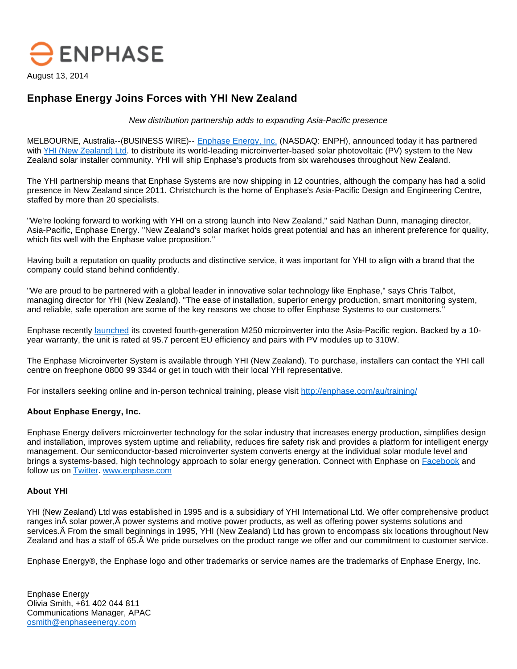

## **Enphase Energy Joins Forces with YHI New Zealand**

New distribution partnership adds to expanding Asia-Pacific presence

MELBOURNE, Australia--(BUSINESS WIRE)-- [Enphase Energy, Inc.](http://cts.businesswire.com/ct/CT?id=smartlink&url=http%3A%2F%2Fwww.enphase.com&esheet=50924158&newsitemid=20140813005725&lan=en-US&anchor=Enphase+Energy%2C+Inc.&index=1&md5=0c31a2ecb38b8a3625838e726b8b997f) (NASDAQ: ENPH), announced today it has partnered with [YHI \(New Zealand\) Ltd](http://cts.businesswire.com/ct/CT?id=smartlink&url=http%3A%2F%2Fwww.yhipower.co.nz%2F&esheet=50924158&newsitemid=20140813005725&lan=en-US&anchor=YHI+%28New+Zealand%29+Ltd&index=2&md5=8d008d2df49c966818fd01f92369ebd4). to distribute its world-leading microinverter-based solar photovoltaic (PV) system to the New Zealand solar installer community. YHI will ship Enphase's products from six warehouses throughout New Zealand.

The YHI partnership means that Enphase Systems are now shipping in 12 countries, although the company has had a solid presence in New Zealand since 2011. Christchurch is the home of Enphase's Asia-Pacific Design and Engineering Centre, staffed by more than 20 specialists.

"We're looking forward to working with YHI on a strong launch into New Zealand," said Nathan Dunn, managing director, Asia-Pacific, Enphase Energy. "New Zealand's solar market holds great potential and has an inherent preference for quality, which fits well with the Enphase value proposition."

Having built a reputation on quality products and distinctive service, it was important for YHI to align with a brand that the company could stand behind confidently.

"We are proud to be partnered with a global leader in innovative solar technology like Enphase," says Chris Talbot, managing director for YHI (New Zealand). "The ease of installation, superior energy production, smart monitoring system, and reliable, safe operation are some of the key reasons we chose to offer Enphase Systems to our customers."

Enphase recently [launched](http://cts.businesswire.com/ct/CT?id=smartlink&url=http%3A%2F%2Finvestor.enphase.com%2Freleasedetail.cfm%3FReleaseID%3D855237&esheet=50924158&newsitemid=20140813005725&lan=en-US&anchor=launched&index=3&md5=270d4a79007a6e01e6e40d3c7cd4f116) its coveted fourth-generation M250 microinverter into the Asia-Pacific region. Backed by a 10 year warranty, the unit is rated at 95.7 percent EU efficiency and pairs with PV modules up to 310W.

The Enphase Microinverter System is available through YHI (New Zealand). To purchase, installers can contact the YHI call centre on freephone 0800 99 3344 or get in touch with their local YHI representative.

For installers seeking online and in-person technical training, please visit [http://enphase.com/au/training/](http://cts.businesswire.com/ct/CT?id=smartlink&url=http%3A%2F%2Fenphase.com%2Fau%2Ftraining%2F&esheet=50924158&newsitemid=20140813005725&lan=en-US&anchor=http%3A%2F%2Fenphase.com%2Fau%2Ftraining%2F&index=4&md5=8690027702757418ae2045b36ff2bfd9)

## **About Enphase Energy, Inc.**

Enphase Energy delivers microinverter technology for the solar industry that increases energy production, simplifies design and installation, improves system uptime and reliability, reduces fire safety risk and provides a platform for intelligent energy management. Our semiconductor-based microinverter system converts energy at the individual solar module level and brings a systems-based, high technology approach to solar energy generation. Connect with Enphase on [Facebook](http://cts.businesswire.com/ct/CT?id=smartlink&url=http%3A%2F%2Fwww.facebook.com%2FEnphaseEnergy&esheet=50924158&newsitemid=20140813005725&lan=en-US&anchor=Facebook&index=5&md5=2dc00d458079a29b0e572e82645356ce) and follow us on [Twitter](http://cts.businesswire.com/ct/CT?id=smartlink&url=http%3A%2F%2Ftwitter.com%2Fenphase&esheet=50924158&newsitemid=20140813005725&lan=en-US&anchor=Twitter&index=6&md5=8d738c70c0140ce3f7a06f94fd4824f9). [www.enphase.com](http://cts.businesswire.com/ct/CT?id=smartlink&url=http%3A%2F%2Fwww.enphase.com&esheet=50924158&newsitemid=20140813005725&lan=en-US&anchor=www.enphase.com&index=7&md5=bc31f93a5cfd2670f534618298c6649f)

## **About YHI**

YHI (New Zealand) Ltd was established in 1995 and is a subsidiary of YHI International Ltd. We offer comprehensive product ranges in Å solar power, Å power systems and motive power products, as well as offering power systems solutions and services. A From the small beginnings in 1995, YHI (New Zealand) Ltd has grown to encompass six locations throughout New Zealand and has a staff of 65. We pride ourselves on the product range we offer and our commitment to customer service.

Enphase Energy®, the Enphase logo and other trademarks or service names are the trademarks of Enphase Energy, Inc.

Enphase Energy Olivia Smith, +61 402 044 811 Communications Manager, APAC [osmith@enphaseenergy.com](mailto:osmith@enphaseenergy.com)